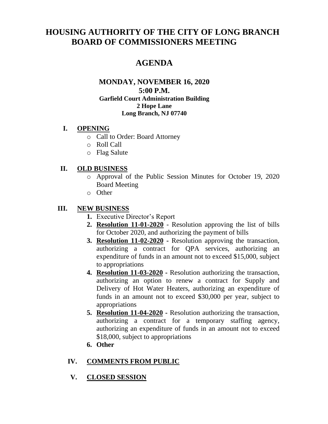# **HOUSING AUTHORITY OF THE CITY OF LONG BRANCH BOARD OF COMMISSIONERS MEETING**

## **AGENDA**

#### **MONDAY, NOVEMBER 16, 2020 5:00 P.M. Garfield Court Administration Building 2 Hope Lane Long Branch, NJ 07740**

#### **I. OPENING**

- o Call to Order: Board Attorney
- o Roll Call
- o Flag Salute

#### **II. OLD BUSINESS**

- o Approval of the Public Session Minutes for October 19, 2020 Board Meeting
- o Other

#### **III. NEW BUSINESS**

- **1.** Executive Director's Report
- **2. Resolution 11-01-2020** Resolution approving the list of bills for October 2020, and authorizing the payment of bills
- **3. Resolution 11-02-2020 -** Resolution approving the transaction, authorizing a contract for QPA services, authorizing an expenditure of funds in an amount not to exceed \$15,000, subject to appropriations
- **4. Resolution 11-03-2020 -** Resolution authorizing the transaction, authorizing an option to renew a contract for Supply and Delivery of Hot Water Heaters, authorizing an expenditure of funds in an amount not to exceed \$30,000 per year, subject to appropriations
- **5. Resolution 11-04-2020 -** Resolution authorizing the transaction, authorizing a contract for a temporary staffing agency, authorizing an expenditure of funds in an amount not to exceed \$18,000, subject to appropriations
- **6. Other**

### **IV. COMMENTS FROM PUBLIC**

**V. CLOSED SESSION**